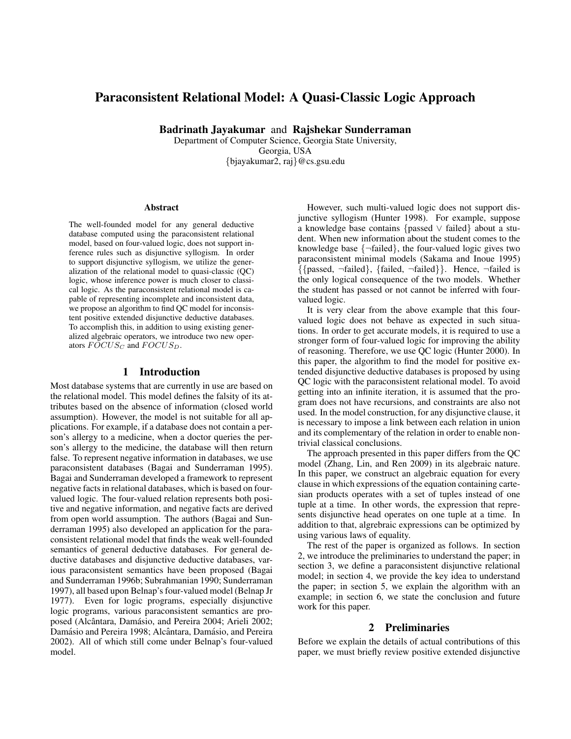# Paraconsistent Relational Model: A Quasi-Classic Logic Approach

Badrinath Jayakumar and Rajshekar Sunderraman

Department of Computer Science, Georgia State University, Georgia, USA {bjayakumar2, raj}@cs.gsu.edu

#### Abstract

The well-founded model for any general deductive database computed using the paraconsistent relational model, based on four-valued logic, does not support inference rules such as disjunctive syllogism. In order to support disjunctive syllogism, we utilize the generalization of the relational model to quasi-classic (QC) logic, whose inference power is much closer to classical logic. As the paraconsistent relational model is capable of representing incomplete and inconsistent data, we propose an algorithm to find QC model for inconsistent positive extended disjunctive deductive databases. To accomplish this, in addition to using existing generalized algebraic operators, we introduce two new operators  $FOCUS_C$  and  $FOCUS_D$ .

## 1 Introduction

Most database systems that are currently in use are based on the relational model. This model defines the falsity of its attributes based on the absence of information (closed world assumption). However, the model is not suitable for all applications. For example, if a database does not contain a person's allergy to a medicine, when a doctor queries the person's allergy to the medicine, the database will then return false. To represent negative information in databases, we use paraconsistent databases (Bagai and Sunderraman 1995). Bagai and Sunderraman developed a framework to represent negative facts in relational databases, which is based on fourvalued logic. The four-valued relation represents both positive and negative information, and negative facts are derived from open world assumption. The authors (Bagai and Sunderraman 1995) also developed an application for the paraconsistent relational model that finds the weak well-founded semantics of general deductive databases. For general deductive databases and disjunctive deductive databases, various paraconsistent semantics have been proposed (Bagai and Sunderraman 1996b; Subrahmanian 1990; Sunderraman 1997), all based upon Belnap's four-valued model (Belnap Jr 1977). Even for logic programs, especially disjunctive logic programs, various paraconsistent semantics are proposed (Alcântara, Damásio, and Pereira 2004; Arieli 2002; Damásio and Pereira 1998; Alcântara, Damásio, and Pereira 2002). All of which still come under Belnap's four-valued model.

However, such multi-valued logic does not support disjunctive syllogism (Hunter 1998). For example, suppose a knowledge base contains {passed ∨ failed} about a student. When new information about the student comes to the knowledge base  $\{\neg$ failed $\}$ , the four-valued logic gives two paraconsistent minimal models (Sakama and Inoue 1995) {{passed, ¬failed}, {failed, ¬failed}}. Hence, ¬failed is the only logical consequence of the two models. Whether the student has passed or not cannot be inferred with fourvalued logic.

It is very clear from the above example that this fourvalued logic does not behave as expected in such situations. In order to get accurate models, it is required to use a stronger form of four-valued logic for improving the ability of reasoning. Therefore, we use QC logic (Hunter 2000). In this paper, the algorithm to find the model for positive extended disjunctive deductive databases is proposed by using QC logic with the paraconsistent relational model. To avoid getting into an infinite iteration, it is assumed that the program does not have recursions, and constraints are also not used. In the model construction, for any disjunctive clause, it is necessary to impose a link between each relation in union and its complementary of the relation in order to enable nontrivial classical conclusions.

The approach presented in this paper differs from the QC model (Zhang, Lin, and Ren 2009) in its algebraic nature. In this paper, we construct an algebraic equation for every clause in which expressions of the equation containing cartesian products operates with a set of tuples instead of one tuple at a time. In other words, the expression that represents disjunctive head operates on one tuple at a time. In addition to that, algrebraic expressions can be optimized by using various laws of equality.

The rest of the paper is organized as follows. In section 2, we introduce the preliminaries to understand the paper; in section 3, we define a paraconsistent disjunctive relational model; in section 4, we provide the key idea to understand the paper; in section 5, we explain the algorithm with an example; in section 6, we state the conclusion and future work for this paper.

#### 2 Preliminaries

Before we explain the details of actual contributions of this paper, we must briefly review positive extended disjunctive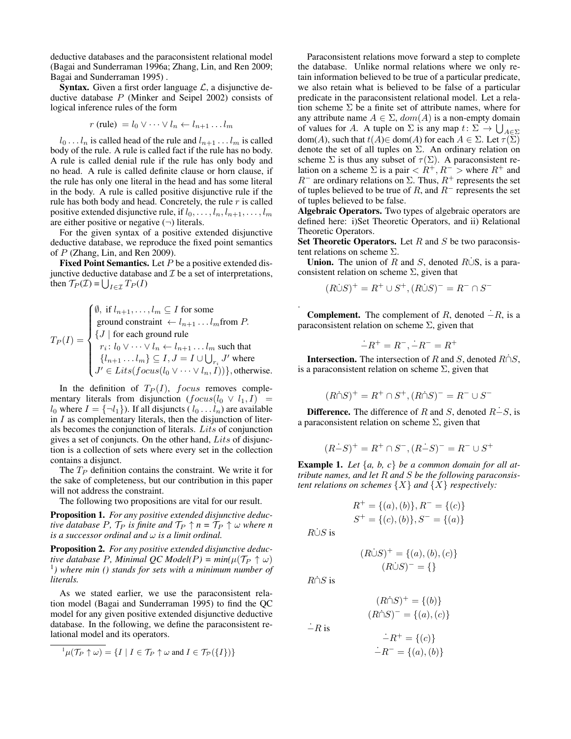deductive databases and the paraconsistent relational model (Bagai and Sunderraman 1996a; Zhang, Lin, and Ren 2009; Bagai and Sunderraman 1995) .

**Syntax.** Given a first order language  $\mathcal{L}$ , a disjunctive deductive database  $P$  (Minker and Seipel 2002) consists of logical inference rules of the form

$$
r \text{ (rule)} = l_0 \vee \cdots \vee l_n \leftarrow l_{n+1} \ldots l_m
$$

 $l_0 \ldots l_n$  is called head of the rule and  $l_{n+1} \ldots l_m$  is called body of the rule. A rule is called fact if the rule has no body. A rule is called denial rule if the rule has only body and no head. A rule is called definite clause or horn clause, if the rule has only one literal in the head and has some literal in the body. A rule is called positive disjunctive rule if the rule has both body and head. Concretely, the rule  $r$  is called positive extended disjunctive rule, if  $l_0, \ldots, l_n, l_{n+1}, \ldots, l_m$ are either positive or negative  $(\neg)$  literals.

For the given syntax of a positive extended disjunctive deductive database, we reproduce the fixed point semantics of P (Zhang, Lin, and Ren 2009).

**Fixed Point Semantics.** Let  $P$  be a positive extended disjunctive deductive database and  $\mathcal I$  be a set of interpretations, then  $\mathcal{T}_P(\mathcal{I}) = \bigcup_{I \in \mathcal{I}} T_P(I)$ 

$$
T_P(I) = \begin{cases} \emptyset, \text{ if } l_{n+1}, \dots, l_m \subseteq I \text{ for some} \\ \text{ground constraint } \leftarrow l_{n+1} \dots l_m \text{from } P. \\ \{J \mid \text{for each ground rule} \\ r_i \colon l_0 \vee \dots \vee l_n \leftarrow l_{n+1} \dots l_m \text{ such that} \\ \{l_{n+1} \dots l_m\} \subseteq I, J = I \cup \bigcup_{r_i} J' \text{ where} \\ J' \in \text{Lists}(\text{focus}(l_0 \vee \dots \vee l_n, I))\}, \text{otherwise.} \end{cases}
$$

In the definition of  $T_P(I)$ , focus removes complementary literals from disjunction  $(focus(l_0 \vee l_1, I))$  =  $l_0$  where  $I = \{\neg l_1\}$ ). If all disjuncts ( $l_0 \dots l_n$ ) are available in  $I$  as complementary literals, then the disjunction of literals becomes the conjunction of literals. Lits of conjunction gives a set of conjuncts. On the other hand, Lits of disjunction is a collection of sets where every set in the collection contains a disjunct.

The  $T_P$  definition contains the constraint. We write it for the sake of completeness, but our contribution in this paper will not address the constraint.

The following two propositions are vital for our result.

Proposition 1. *For any positive extended disjunctive deductive database P,*  $\mathcal{T}_P$  *is finite and*  $\mathcal{T}_P \uparrow n = \mathcal{T}_P \uparrow \omega$  *where n is a successor ordinal and* ω *is a limit ordinal.*

Proposition 2. *For any positive extended disjunctive deductive database* P, Minimal QC Model(P) =  $min(\mu(\mathcal{T}_P \uparrow \omega))$ 1 *) where min () stands for sets with a minimum number of literals.*

As we stated earlier, we use the paraconsistent relation model (Bagai and Sunderraman 1995) to find the QC model for any given positive extended disjunctive deductive database. In the following, we define the paraconsistent relational model and its operators.

$$
{}^{1}\mu(\mathcal{T}_{P}\uparrow\omega)=\{I\mid I\in\mathcal{T}_{P}\uparrow\omega\text{ and }I\in\mathcal{T}_{\mathcal{P}}(\{I\})\}
$$

Paraconsistent relations move forward a step to complete the database. Unlike normal relations where we only retain information believed to be true of a particular predicate, we also retain what is believed to be false of a particular predicate in the paraconsistent relational model. Let a relation scheme  $\Sigma$  be a finite set of attribute names, where for any attribute name  $A \in \Sigma$ ,  $dom(A)$  is a non-empty domain of values for A. A tuple on  $\Sigma$  is any map  $t: \Sigma \to \bigcup_{A \in \Sigma}$  $dom(A)$ , such that  $t(A) \in dom(A)$  for each  $A \in \Sigma$ . Let  $\tau(\Sigma)$ denote the set of all tuples on  $\Sigma$ . An ordinary relation on scheme  $\Sigma$  is thus any subset of  $\tau(\Sigma)$ . A paraconsistent relation on a scheme  $\Sigma$  is a pair  $\langle R^+, R^- \rangle$  where  $R^+$  and  $R^-$  are ordinary relations on  $\Sigma$ . Thus,  $R^+$  represents the set of tuples believed to be true of R, and  $R^-$  represents the set of tuples believed to be false.

Algebraic Operators. Two types of algebraic operators are defined here: i)Set Theoretic Operators, and ii) Relational Theoretic Operators.

Set Theoretic Operators. Let  $R$  and  $S$  be two paraconsistent relations on scheme Σ.

**Union.** The union of R and S, denoted R∪S, is a paraconsistent relation on scheme  $\Sigma$ , given that

$$
(R\dot{\cup}S)^{+} = R^{+} \cup S^{+}, (R\dot{\cup}S)^{-} = R^{-} \cap S^{-}
$$

**Complement.** The complement of R, denoted  $\dot{-}R$ , is a paraconsistent relation on scheme  $\Sigma$ , given that

$$
\dot -R^+=R^-,\dot -R^-=R^+
$$

**Intersection.** The intersection of R and S, denoted  $R \cap S$ , is a paraconsistent relation on scheme  $\Sigma$ , given that

$$
(R\dot{\cap}S)^{+} = R^{+} \cap S^{+}, (R\dot{\cap}S)^{-} = R^{-} \cup S^{-}
$$

**Difference.** The difference of R and S, denoted  $R-S$ , is a paraconsistent relation on scheme  $\Sigma$ , given that

$$
(R\dot{-}S)^{+} = R^{+} \cap S^{-}, (R\dot{-}S)^{-} = R^{-} \cup S^{+}
$$

Example 1. *Let* {*a, b, c*} *be a common domain for all attribute names, and let* R *and* S *be the following paraconsistent relations on schemes*  $\{X\}$  *and*  $\{X\}$  *respectively:* 

$$
R^{+} = \{(a), (b)\}, R^{-} = \{(c)\}\
$$
  

$$
S^{+} = \{(c), (b)\}, S^{-} = \{(a)\}\
$$

 $R\dot{\cup}S$  is

.

$$
(R\dot{\cup}S)^{+} = \{(a), (b), (c)\}\
$$

$$
(R\dot{\cup}S)^{-} = \{\}
$$

 $R\cap S$  is

 $\dot{-}R$  is

$$
(R \cap S)^{-} = \{(a), (c)\}\
$$

$$
\dot{-}R^{+} = \{(c)\}\
$$

 $(R\dot{\cap}S)^{+} = \{(b)\}\$ 

$$
\therefore R^- = \{(c)\}\
$$

$$
\therefore R^- = \{(a), (b)\}\
$$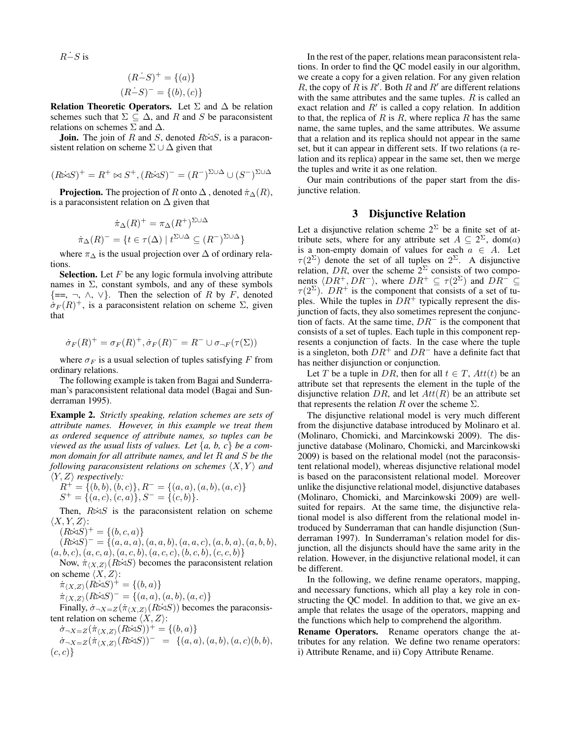$R-\overline{S}$  is

$$
(R\dot{-}S)^{+} = \{(a)\}\
$$

$$
(R\dot{-}S)^{-} = \{(b), (c)\}\
$$

Relation Theoretic Operators. Let  $\Sigma$  and  $\Delta$  be relation schemes such that  $\Sigma \subseteq \Delta$ , and R and S be paraconsistent relations on schemes  $\Sigma$  and  $\Delta$ .

**Join.** The join of R and S, denoted  $R\dot{\bowtie}S$ , is a paraconsistent relation on scheme  $\Sigma \cup \Delta$  given that

$$
(R\dot{\bowtie} S)^+=R^+\bowtie S^+, (R\dot{\bowtie} S)^-=(R^-)^{\Sigma\cup\Delta}\cup (S^-)^{\Sigma\cup\Delta}
$$

**Projection.** The projection of R onto  $\Delta$ , denoted  $\pi_{\Delta}(R)$ , is a paraconsistent relation on  $\Delta$  given that

$$
\dot{\pi}_{\Delta}(R)^{+} = \pi_{\Delta}(R^{+})^{\Sigma \cup \Delta}
$$

$$
\dot{\pi}_{\Delta}(R)^{-} = \{ t \in \tau(\Delta) \mid t^{\Sigma \cup \Delta} \subseteq (R^{-})^{\Sigma \cup \Delta} \}
$$

where  $\pi_{\Delta}$  is the usual projection over  $\Delta$  of ordinary relations.

**Selection.** Let  $F$  be any logic formula involving attribute names in  $\Sigma$ , constant symbols, and any of these symbols  $\{=\,,\neg,\wedge,\vee\}$ . Then the selection of R by F, denoted  $\dot{\sigma}_F(R)^+$ , is a paraconsistent relation on scheme  $\Sigma$ , given that

$$
\dot{\sigma}_F(R)^+ = \sigma_F(R)^+, \dot{\sigma}_F(R)^- = R^- \cup \sigma_{\neg F}(\tau(\Sigma))
$$

where  $\sigma_F$  is a usual selection of tuples satisfying F from ordinary relations.

The following example is taken from Bagai and Sunderraman's paraconsistent relational data model (Bagai and Sunderraman 1995).

Example 2. *Strictly speaking, relation schemes are sets of attribute names. However, in this example we treat them as ordered sequence of attribute names, so tuples can be viewed as the usual lists of values. Let*  $\{a, b, c\}$  *be a common domain for all attribute names, and let* R *and* S *be the following paraconsistent relations on schemes*  $\langle X, Y \rangle$  *and*  $\langle Y, Z \rangle$  *respectively:* 

$$
R^{+} = \{(b, b), (b, c)\}, R^{-} = \{(a, a), (a, b), (a, c)\}\
$$
  

$$
S^{+} = \{(a, c), (c, a)\}, S^{-} = \{(c, b)\}.
$$

Then,  $R\dot{\bowtie} S$  is the paraconsistent relation on scheme  $\langle X, Y, Z \rangle$ :

$$
(R\dot{\bowtie} S)^{+} = \{(b, c, a)\}
$$

 $(R\dot{\bowtie} S)^{-} = \{ (a, a, a), (a, a, b), (a, a, c), (a, b, a), (a, b, b),$  $(a, b, c), (a, c, a), (a, c, b), (a, c, c), (b, c, b), (c, c, b)$ 

Now,  $\dot{\pi}_{(X,Z)}(R\dot{\bowtie} S)$  becomes the paraconsistent relation on scheme  $\langle X, Z \rangle$ :

 $\pi_{\langle X,Z\rangle}(R\dot{\bowtie} S)^+=\{(b,a)\}$ 

 $\pi_{(X,Z)}(R \triangle S)^{-} = \{(a, a), (a, b), (a, c)\}\$ 

Finally,  $\dot{\sigma}_{\neg X = Z}(\dot{\pi}_{\langle X,Z \rangle}(R\dot{\bowtie} S))$  becomes the paraconsistent relation on scheme  $\langle X, Z \rangle$ :

 $\dot{\sigma}_{\neg X = Z}(\dot{\pi}_{\langle X,Z\rangle}(R\dot{\bowtie} S))^+ = \{(b,a)\}\$  $\dot{\sigma}_{\neg X = Z}(\dot{\pi}_{\langle X,Z\rangle}(R\dot{\bowtie} S)) = \{ (a,a), (a,b), (a,c)(b,b),$  $(c, c)$ 

In the rest of the paper, relations mean paraconsistent relations. In order to find the QC model easily in our algorithm, we create a copy for a given relation. For any given relation R, the copy of  $\tilde{R}$  is  $R'$ . Both  $R$  and  $R'$  are different relations with the same attributes and the same tuples.  $R$  is called an exact relation and  $R'$  is called a copy relation. In addition to that, the replica of R is R, where replica R has the same name, the same tuples, and the same attributes. We assume that a relation and its replica should not appear in the same set, but it can appear in different sets. If two relations (a relation and its replica) appear in the same set, then we merge the tuples and write it as one relation.

Our main contributions of the paper start from the disjunctive relation.

## 3 Disjunctive Relation

Let a disjunctive relation scheme  $2^{\Sigma}$  be a finite set of attribute sets, where for any attribute set  $A \subseteq 2^{\Sigma}$ , dom(a) is a non-empty domain of values for each  $a \in A$ . Let  $\tau(2^{\Sigma})$  denote the set of all tuples on  $2^{\Sigma}$ . A disjunctive relation, DR, over the scheme  $2^{\Sigma}$  consists of two components  $\langle DR^+, DR^-\rangle$ , where  $DR^+ \subseteq \tau (2^{\Sigma})$  and  $DR^-\subseteq$  $\tau(2^{\Sigma})$ .  $DR^{+}$  is the component that consists of a set of tuples. While the tuples in  $DR<sup>+</sup>$  typically represent the disjunction of facts, they also sometimes represent the conjunction of facts. At the same time,  $DR<sup>-</sup>$  is the component that consists of a set of tuples. Each tuple in this component represents a conjunction of facts. In the case where the tuple is a singleton, both  $DR^+$  and  $DR^-$  have a definite fact that has neither disjunction or conjunction.

Let T be a tuple in DR, then for all  $t \in T$ ,  $Att(t)$  be an attribute set that represents the element in the tuple of the disjunctive relation DR, and let  $Att(R)$  be an attribute set that represents the relation R over the scheme  $\Sigma$ .

The disjunctive relational model is very much different from the disjunctive database introduced by Molinaro et al. (Molinaro, Chomicki, and Marcinkowski 2009). The disjunctive database (Molinaro, Chomicki, and Marcinkowski 2009) is based on the relational model (not the paraconsistent relational model), whereas disjunctive relational model is based on the paraconsistent relational model. Moreover unlike the disjunctive relational model, disjunctive databases (Molinaro, Chomicki, and Marcinkowski 2009) are wellsuited for repairs. At the same time, the disjunctive relational model is also different from the relational model introduced by Sunderraman that can handle disjunction (Sunderraman 1997). In Sunderraman's relation model for disjunction, all the disjuncts should have the same arity in the relation. However, in the disjunctive relational model, it can be different.

In the following, we define rename operators, mapping, and necessary functions, which all play a key role in constructing the QC model. In addition to that, we give an example that relates the usage of the operators, mapping and the functions which help to comprehend the algorithm.

Rename Operators. Rename operators change the attributes for any relation. We define two rename operators: i) Attribute Rename, and ii) Copy Attribute Rename.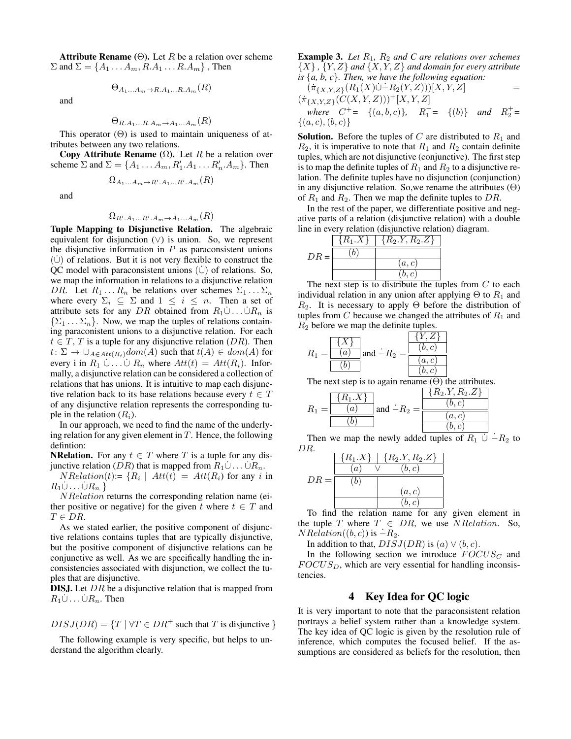Attribute Rename ( $\Theta$ ). Let R be a relation over scheme  $\Sigma$  and  $\Sigma = \{A_1 \ldots A_m, R.A_1 \ldots R.A_m\}$ , Then

$$
\Theta_{A_1...A_m \to R.A_1...R.A_m}(R)
$$

and

$$
\Theta_{R.A_1...R.A_m \to A_1...A_m}(R)
$$

This operator  $(\Theta)$  is used to maintain uniqueness of attributes between any two relations.

Copy Attribute Rename  $(\Omega)$ . Let R be a relation over scheme  $\Sigma$  and  $\Sigma = \{A_1 \dots A_m, R'_1 \dots R'_n \dots A_m\}$ . Then

$$
\Omega_{A_1...A_m \to R'.A_1...R'.A_m}(R)
$$

and

# $\Omega_{R^{\prime},A_{1}...R^{\prime},A_{m}\rightarrow A_{1}...A_{m}}(R)$

Tuple Mapping to Disjunctive Relation. The algebraic equivalent for disjunction  $(∨)$  is union. So, we represent the disjunctive information in  $P$  as paraconsistent unions  $(\dot{\cup})$  of relations. But it is not very flexible to construct the QC model with paraconsistent unions  $(\dot{\cup})$  of relations. So, we map the information in relations to a disjunctive relation DR. Let  $R_1 \ldots R_n$  be relations over schemes  $\Sigma_1 \ldots \Sigma_n$ where every  $\Sigma_i \subseteq \Sigma$  and  $1 \leq i \leq n$ . Then a set of attribute sets for any DR obtained from  $R_1 \cup ... \cup R_n$  is  $\{\Sigma_1 \dots \Sigma_n\}$ . Now, we map the tuples of relations containing paraconistent unions to a disjunctive relation. For each  $t \in T$ , T is a tuple for any disjunctive relation (DR). Then  $t: \Sigma \to \cup_{A \in Att(R_i)}dom(A)$  such that  $t(A) \in dom(A)$  for every i in  $R_1 \cup \ldots \cup R_n$  where  $Att(t) = Att(R_i)$ . Informally, a disjunctive relation can be considered a collection of relations that has unions. It is intuitive to map each disjunctive relation back to its base relations because every  $t \in T$ of any disjunctive relation represents the corresponding tuple in the relation  $(R_i)$ .

In our approach, we need to find the name of the underlying relation for any given element in  $T$ . Hence, the following defintion:

**NRelation.** For any  $t \in T$  where T is a tuple for any disjunctive relation (DR) that is mapped from  $R_1 \dot{\cup} \dots \dot{\cup} R_n$ .

 $NRelation(t) := \{R_i \mid Att(t) = Att(R_i) \text{ for any } i \text{ in }$  $R_1\dot{\cup}\ldots\dot{\cup}R_n$ 

NRelation returns the corresponding relation name (either positive or negative) for the given t where  $t \in T$  and  $T \in DR$ .

As we stated earlier, the positive component of disjunctive relations contains tuples that are typically disjunctive, but the positive component of disjunctive relations can be conjunctive as well. As we are specifically handling the inconsistencies associated with disjunction, we collect the tuples that are disjunctive.

**DISJ.** Let DR be a disjunctive relation that is mapped from  $R_1\dot{\cup}\dots\dot{\cup}R_n$ . Then

$$
DISJ(DR) = \{T \mid \forall T \in DR^+ \text{ such that } T \text{ is disjunctive }\}
$$

The following example is very specific, but helps to understand the algorithm clearly.

Example 3. *Let* R1*,* R<sup>2</sup> *and C are relations over schemes*  $\{X\}$ ,  $\{Y, Z\}$  *and*  $\{X, Y, Z\}$  *and domain for every attribute is* {*a, b, c*}*. Then, we have the following equation:*

$$
(\pi_{\{X,Y,Z\}}(R_1(X)\cup -R_2(Y,Z)))[X,Y,Z] = (\pi_{\{X,Y,Z\}}(C(X,Y,Z)))^+[X,Y,Z] \nwhere C^+= {(a,b,c)}, R_1^- = {(b)} and R_2^+=
$$

 $\{(a, c), (b, c)\}\$ 

**Solution.** Before the tuples of  $C$  are distributed to  $R_1$  and  $R_2$ , it is imperative to note that  $R_1$  and  $R_2$  contain definite tuples, which are not disjunctive (conjunctive). The first step is to map the definite tuples of  $R_1$  and  $R_2$  to a disjunctive relation. The definite tuples have no disjunction (conjunction) in any disjunctive relation. So, we rename the attributes  $(\Theta)$ of  $R_1$  and  $R_2$ . Then we map the definite tuples to DR.

In the rest of the paper, we differentiate positive and negative parts of a relation (disjunctive relation) with a double line in every relation (disjunctive relation) diagram.

|        | $\{R_1.X\}$ | $\{R_2.Y, R_2.Z\}$ |
|--------|-------------|--------------------|
| $DR =$ | b           |                    |
|        |             | (a, c)             |
|        |             | b, c               |

The next step is to distribute the tuples from  $C$  to each individual relation in any union after applying  $\Theta$  to  $R_1$  and  $R_2$ . It is necessary to apply  $\Theta$  before the distribution of tuples from  $C$  because we changed the attributes of  $R_1$  and  $R_2$  before we map the definite tuples.

$$
R_1 = \frac{\{X\}}{\begin{array}{|c|c|}\hline \{X\} \\ \hline \hline (b) \\ \hline \end{array}} \text{ and } \dot{-}R_2 = \frac{\begin{array}{|c|}\hline \{Y,Z\} \\ \hline \hline (b,c) \\ \hline \hline (a,c) \\ \hline (b,c) \\ \hline \end{array}}{}
$$

The next step is to again rename  $(\Theta)$  the attributes.

$$
R_1 = \frac{\boxed{\{R_1.X\}}{(a)}}{(b)}
$$
 and  $\therefore$   $R_2 = \frac{\boxed{\{R_2.Y, R_2.Z\}}{(b,c)}}{(a,c)}$ 

Then we map the newly added tuples of  $R_1 \cup -R_2$  to DR.

|        | $\{R_1.X\}$      | $\{R_2.Y, R_2.Z\}$ |
|--------|------------------|--------------------|
|        | $\boldsymbol{a}$ | (b, c)             |
| $DR =$ |                  |                    |
|        |                  | (a,c)              |
|        |                  | b, c               |

To find the relation name for any given element in the tuple T where  $T \in DR$ , we use NRelation. So,  $NRelation((b, c))$  is  $-R_2$ .

In addition to that,  $DISJ(DR)$  is  $(a) \vee (b, c)$ .

In the following section we introduce  $FOCUS_C$  and  $FOCUS_D$ , which are very essential for handling inconsistencies.

## 4 Key Idea for QC logic

It is very important to note that the paraconsistent relation portrays a belief system rather than a knowledge system. The key idea of QC logic is given by the resolution rule of inference, which computes the focused belief. If the assumptions are considered as beliefs for the resolution, then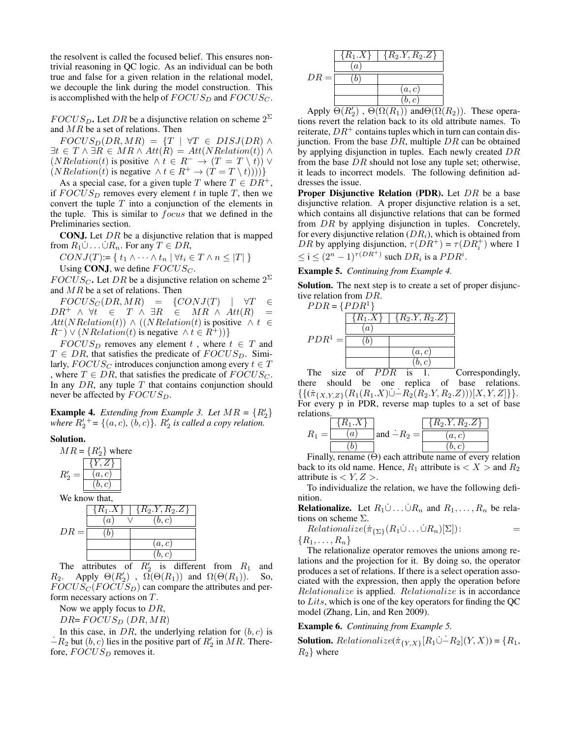the resolvent is called the focused belief. This ensures nontrivial reasoning in QC logic. As an individual can be both true and false for a given relation in the relational model, we decouple the link during the model construction. This is accomplished with the help of  $FOCUS_D$  and  $FOCUS_C$ .

 $FOCUS_D$ . Let DR be a disjunctive relation on scheme  $2^{\Sigma}$ and MR be a set of relations. Then

 $FOCUS_D(DR, MR) = \{T \mid \forall T \in DISJ(DR) \land$  $\exists t \in T \land \exists R \in MR \land Att(R) = Att(NRelation(t)) \land$  $(NRelation(t)$  is positive  $\wedge t \in R^- \rightarrow (T = T \setminus t)$   $\vee$  $(NRelation(t)$  is negative  $\wedge t \in R^+ \rightarrow (T = T \setminus t))$ )

As a special case, for a given tuple T where  $T \in DR^+,$ if  $FOCUS_D$  removes every element t in tuple T, then we convert the tuple  $T$  into a conjunction of the elements in the tuple. This is similar to focus that we defined in the Preliminaries section.

**CONJ.** Let  $DR$  be a disjunctive relation that is mapped from  $R_1\dot{\cup} \dots \dot{\cup} R_n$ . For any  $T \in DR$ ,

$$
CONJ(T) := \{ t_1 \wedge \dots \wedge t_n \mid \forall t_i \in T \wedge n \leq |T| \}
$$

Using CONJ, we define  $FOCUS_C$ .

 $FOCUS_C$ . Let DR be a disjunctive relation on scheme  $2^{\Sigma}$ and  $MR$  be a set of relations. Then

 $FOCUS_C(DR, MR) = \{CONJ(T) | \forall T \in$  $DR^+ \wedge \forall t \in T \wedge \exists R \in MR \wedge Att(R) =$  $Att(NRelation(t)) \wedge ((NRelation(t))$  is positive  $\wedge t \in$  $(R^{-}) \vee (NRelation(t)$  is negative  $\wedge t \in R^{+}$ ))}

 $FOCUS_D$  removes any element t, where  $t \in T$  and  $T \in DR$ , that satisfies the predicate of  $FOCUS_D$ . Similarly,  $FOCUS_C$  introduces conjunction among every  $t \in T$ , where  $T \in DR$ , that satisfies the predicate of  $FOCUS_C$ . In any  $DR$ , any tuple  $T$  that contains conjunction should never be affected by  $FOCUS_D$ .

**Example 4.** *Extending from Example 3. Let*  $MR = \{R_2'\}$ *where*  $R'_2$ <sup>+</sup> = {(a, c), (b, c)}.  $R'_2$  *is called a copy relation.* 

## Solution.



The attributes of  $R'_2$  is different from  $R_1$  and  $R_2$ . Apply  $\Theta(R'_2)$ ,  $\Omega(\Theta(R_1))$  and  $\Omega(\Theta(R_1))$ . So,  $FOCUS_C (FOCUS_D)$  can compare the attributes and perform necessary actions on T.

Now we apply focus to  $DR$ ,

 $DR = FOCUS_D(DR, MR)$ 

In this case, in  $DR$ , the underlying relation for  $(b, c)$  is  $-R_2$  but  $(b, c)$  lies in the positive part of  $R'_2$  in  $MR$ . Therefore,  $FOCUS_D$  removes it.



Apply  $\overline{\Theta(R'_2)}$ ,  $\overline{\Theta(\Omega(R_1))}$  and  $\overline{\Theta(\Omega(R_2))}$ . These operations revert the relation back to its old attribute names. To reiterate,  $DR<sup>+</sup>$  contains tuples which in turn can contain disjunction. From the base  $DR$ , multiple  $DR$  can be obtained by applying disjunction in tuples. Each newly created DR from the base  $DR$  should not lose any tuple set; otherwise, it leads to incorrect models. The following definition addresses the issue.

**Proper Disjunctive Relation (PDR).** Let  $DR$  be a base disjunctive relation. A proper disjunctive relation is a set, which contains all disjunctive relations that can be formed from DR by applying disjunction in tuples. Concretely, for every disjunctive relation  $(DR_i)$ , which is obtained from *DR* by applying disjunction,  $\tau(DR^+) = \tau(DR_i^+)$  where 1  $\leq i \leq (2^n - 1)^{\tau(DR^+)}$  such  $DR_i$  is a  $PDR^i$ .

Example 5. *Continuing from Example 4.*

Solution. The next step is to create a set of proper disjunctive relation from DR.



The size of  $PDR$  is 1. Correspondingly, there should be one replica of base relations.  $\{\{(\pi_{\{X,Y,Z\}}(R_1(R_1.X)\cup -R_2(R_2.Y,R_2.Z)))[X,Y,Z]\}\}.$ For every p in PDR, reverse map tuples to a set of base relations.

$$
R_1 = \frac{\{R_1.X\}}{(a)} \text{ and } -R_2 = \frac{\{R_2.Y, R_2.Z\}}{(a, c)}
$$

$$
\boxed{(b)}
$$

Finally, rename  $(\Theta)$  each attribute name of every relation back to its old name. Hence,  $R_1$  attribute is  $\langle X \rangle$  and  $R_2$ attribute is  $\langle Y, Z \rangle$ .

To individualize the relation, we have the following definition.

**Relationalize.** Let  $R_1 \cup ... \cup R_n$  and  $R_1,..., R_n$  be relations on scheme Σ.

$$
Relationalize(\pi_{\{\Sigma\}}(R_1 \cup \ldots \cup R_n)[\Sigma]):\qquad \qquad =
$$

 $\{R_1,\ldots,R_n\}$ 

The relationalize operator removes the unions among relations and the projection for it. By doing so, the operator produces a set of relations. If there is a select operation associated with the expression, then apply the operation before Relationalize is applied. Relationalize is in accordance to Lits, which is one of the key operators for finding the QC model (Zhang, Lin, and Ren 2009).

#### Example 6. *Continuing from Example 5.*

**Solution.** Relationalize( $\pi_{\{Y,X\}}[R_1 \cup -R_2](Y,X) = \{R_1,$  $R_2$ } where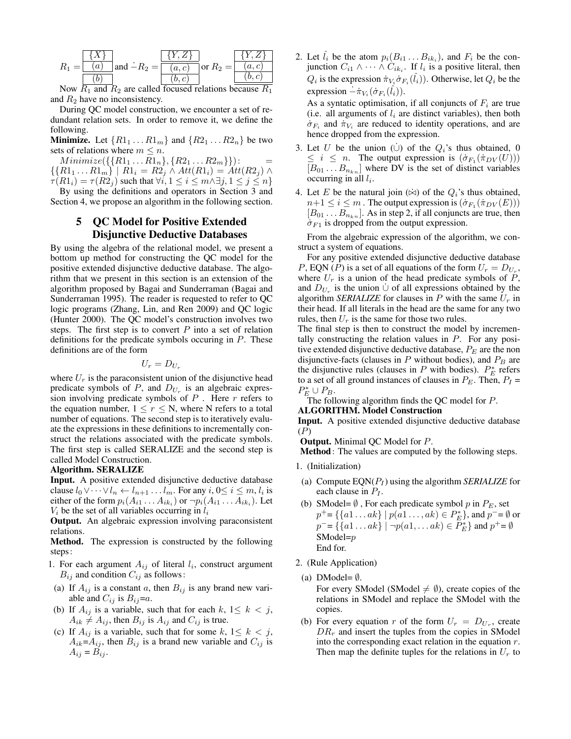$$
R_1 = \frac{\{X\}}{(a)} \text{ and } -R_2 = \frac{\{Y, Z\}}{(a, c)} \text{ or } R_2 = \frac{\{Y, Z\}}{(a, c)}
$$
  
Now  $R_1$  and  $R_2$  are called focused relations because  $R_1$ 

Now  $R_1$  and  $R_2$  are called focused relations because  $R_1$ and  $R_2$  have no inconsistency.

During QC model construction, we encounter a set of redundant relation sets. In order to remove it, we define the following.

**Minimize.** Let  $\{R1_1 \ldots R1_m\}$  and  $\{R2_1 \ldots R2_n\}$  be two sets of relations where  $m \leq n$ .

 $Minimize({\{R1_1 \ldots R1_n\}, \{R2_1 \ldots R2_m\}}):$  $\{R1_1 ... R1_m\}$  |  $R1_i = R2_j \wedge Att(R1_i) = Att(R2_j) \wedge$  $\tau(R1_i) = \tau(R2_i)$  such that  $\forall i, 1 \leq i \leq m \land \exists j, 1 \leq j \leq n$ 

By using the definitions and operators in Section 3 and Section 4, we propose an algorithm in the following section.

> 5 QC Model for Positive Extended Disjunctive Deductive Databases

By using the algebra of the relational model, we present a bottom up method for constructing the QC model for the positive extended disjunctive deductive database. The algorithm that we present in this section is an extension of the algorithm proposed by Bagai and Sunderraman (Bagai and Sunderraman 1995). The reader is requested to refer to QC logic programs (Zhang, Lin, and Ren 2009) and QC logic (Hunter 2000). The QC model's construction involves two steps. The first step is to convert  $P$  into a set of relation definitions for the predicate symbols occuring in P. These definitions are of the form

$$
U_r=D_{U_r}
$$

where  $U_r$  is the paraconsistent union of the disjunctive head predicate symbols of  $P$ , and  $D_{U_r}$  is an algebraic expression involving predicate symbols of  $P$ . Here  $r$  refers to the equation number,  $1 \le r \le N$ , where N refers to a total number of equations. The second step is to iteratively evaluate the expressions in these definitions to incrementally construct the relations associated with the predicate symbols. The first step is called SERALIZE and the second step is called Model Construction.

Algorithm. SERALIZE

Input. A positive extended disjunctive deductive database clause  $l_0 \vee \cdots \vee l_n \leftarrow l_{n+1} \ldots l_m$ . For any  $i, 0 \le i \le m, l_i$  is either of the form  $p_i(A_{i1} \ldots A_{ik_i})$  or  $\neg p_i(A_{i1} \ldots A_{ik_i})$ . Let  $V_i$  be the set of all variables occurring in  $l_i$ 

Output. An algebraic expression involving paraconsistent relations.

Method. The expression is constructed by the following steps:

- 1. For each argument  $A_{ij}$  of literal  $l_i$ , construct argument  $B_{ij}$  and condition  $C_{ij}$  as follows:
- (a) If  $A_{ij}$  is a constant a, then  $B_{ij}$  is any brand new variable and  $C_{ij}$  is  $B_{ij}=a$ .
- (b) If  $A_{ij}$  is a variable, such that for each  $k, 1 \leq k < j$ ,  $A_{ik} \neq A_{ij}$ , then  $B_{ij}$  is  $A_{ij}$  and  $C_{ij}$  is true.
- (c) If  $A_{ij}$  is a variable, such that for some  $k, 1 \leq k < j$ ,  $A_{ik} = A_{ij}$ , then  $B_{ij}$  is a brand new variable and  $C_{ij}$  is  $A_{ij} = B_{ij}$ .

2. Let  $\hat{l}_i$  be the atom  $p_i(B_{i1} \dots B_{ik_i})$ , and  $F_i$  be the conjunction  $C_{i1} \wedge \cdots \wedge C_{ik_i}$ . If  $l_i$  is a positive literal, then  $Q_i$  is the expression  $\pi_{V_i} \dot{\sigma}_{F_i}(\hat{l}_i)$ ). Otherwise, let  $Q_i$  be the expression  $-\dot{\pi}_{V_i}(\dot{\sigma}_{F_i}(\hat{l}_i)).$ 

As a syntatic optimisation, if all conjuncts of  $F_i$  are true (i.e. all arguments of  $l_i$  are distinct variables), then both  $\dot{\sigma}_{F_i}$  and  $\dot{\pi}_{V_i}$  are reduced to identity operations, and are hence dropped from the expression.

- 3. Let U be the union (∪) of the  $Q_i$ 's thus obtained, 0  $\leq i \leq n$ . The output expression is  $(\dot{\sigma}_{F_1}(\dot{\pi}_{DV}(U)))$  $[B_{01} \dots B_{n_{kn}}]$  where DV is the set of distinct variables occurring in all  $l_i$ .
- 4. Let E be the natural join  $(\dot{\bowtie})$  of the  $Q_i$ 's thus obtained,  $n+1 \leq i \leq m$  . The output expression is  $(\dot{\sigma}_{F_1}(\dot{\pi}_{DV}(E)))$  $[B_{01} \dots B_{n_{kn}}]$ . As in step 2, if all conjuncts are true, then  $\dot{\sigma}_{F1}$  is dropped from the output expression.

From the algebraic expression of the algorithm, we construct a system of equations.

For any positive extended disjunctive deductive database P, EQN (P) is a set of all equations of the form  $U_r = D_{U_r}$ , where  $U_r$  is a union of the head predicate symbols of  $P$ , and  $D_{U_r}$  is the union  $\dot{\cup}$  of all expressions obtained by the algorithm *SERIALIZE* for clauses in  $P$  with the same  $U_r$  in their head. If all literals in the head are the same for any two rules, then  $U_r$  is the same for those two rules.

The final step is then to construct the model by incrementally constructing the relation values in  $P$ . For any positive extended disjunctive deductive database,  $P_E$  are the non disjunctive-facts (clauses in  $P$  without bodies), and  $P_B$  are the disjunctive rules (clauses in P with bodies).  $P_E^*$  refers to a set of all ground instances of clauses in  $P_E$ . Then,  $P_I$  =  $P_E^* \cup P_B.$ 

The following algorithm finds the QC model for  $P$ .

## ALGORITHM. Model Construction

Input. A positive extended disjunctive deductive database (P)

Output. Minimal QC Model for P.

Method: The values are computed by the following steps.

- 1. (Initialization)
- (a) Compute  $EQN(P_I)$  using the algorithm *SERIALIZE* for each clause in  $P_I$ .
- (b) SModel=  $\emptyset$ , For each predicate symbol p in  $P_E$ , set  $p^+ = \{\{a1 \dots ak\} \mid p(a1 \dots, ak) \in P_E^*\}$ , and  $p^- = \emptyset$  or  $p^-=\{\{a1\ldots ak\} \mid \neg p(a1,\ldots ak)\in \overline{P_E^*}\}\$  and  $p^+=\emptyset$ SModel=p End for.
- 2. (Rule Application)
- (a) DModel=  $\emptyset$ .

For every SModel (SModel  $\neq \emptyset$ ), create copies of the relations in SModel and replace the SModel with the copies.

(b) For every equation r of the form  $U_r = D_{U_r}$ , create  $DR<sub>r</sub>$  and insert the tuples from the copies in SModel into the corresponding exact relation in the equation  $r$ . Then map the definite tuples for the relations in  $U_r$  to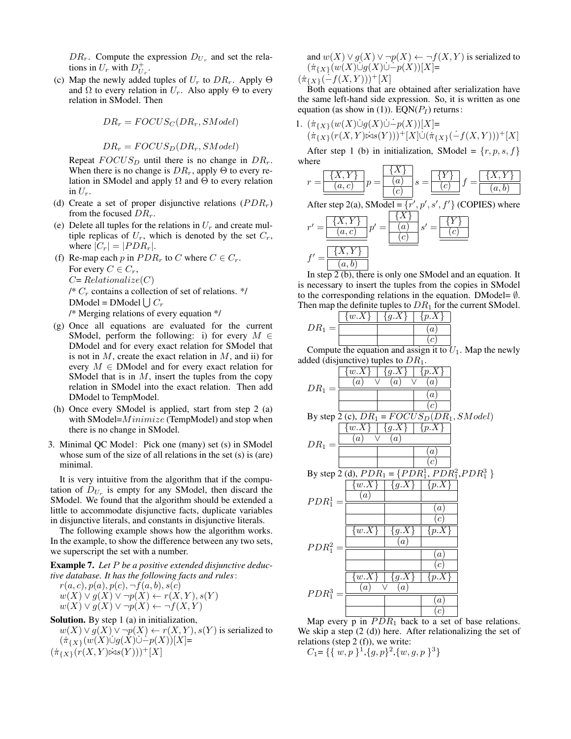$DR_r$ . Compute the expression  $D_{U_r}$  and set the relations in  $U_r$  with  $D_{U_r}^+$ .

(c) Map the newly added tuples of  $U_r$  to  $DR_r$ . Apply  $\Theta$ and  $\Omega$  to every relation in  $U_r$ . Also apply  $\Theta$  to every relation in SModel. Then

$$
DR_r = FOCUS_C(DR_r, SModel)
$$

 $DR_r = FOCUS_D(DR_r, SModel)$ 

Repeat  $FOCUS_D$  until there is no change in  $DR_r$ . When there is no change is  $DR_r$ , apply  $\Theta$  to every relation in SModel and apply  $\Omega$  and  $\Theta$  to every relation in  $U_r$ .

- (d) Create a set of proper disjunctive relations  $(PDR<sub>r</sub>)$ from the focused  $DR_r$ .
- (e) Delete all tuples for the relations in  $U_r$  and create multiple replicas of  $U_r$ , which is denoted by the set  $C_r$ , where  $|C_r| = |PDR_r|$ .
- (f) Re-map each p in  $PDR_r$  to C where  $C \in C_r$ . For every  $C \in C_r$ ,  $C=Relationalize(C)$  $\frac{1}{2}$  C<sub>r</sub> contains a collection of set of relations. \*/ DModel = DModel  $\bigcup C_r$ /\* Merging relations of every equation \*/
- (g) Once all equations are evaluated for the current SModel, perform the following: i) for every  $M \in$ DModel and for every exact relation for SModel that is not in  $M$ , create the exact relation in  $M$ , and ii) for every  $M \in$  DModel and for every exact relation for SModel that is in  $M$ , insert the tuples from the copy relation in SModel into the exact relation. Then add DModel to TempModel.
- (h) Once every SModel is applied, start from step 2 (a) with SModel= $Minimize$  (TempModel) and stop when there is no change in SModel.
- 3. Minimal QC Model: Pick one (many) set (s) in SModel whose sum of the size of all relations in the set (s) is (are) minimal.

It is very intuitive from the algorithm that if the computation of  $D_{U_r}$  is empty for any SModel, then discard the SModel. We found that the algorithm should be extended a little to accommodate disjunctive facts, duplicate variables in disjunctive literals, and constants in disjunctive literals.

The following example shows how the algorithm works. In the example, to show the difference between any two sets, we superscript the set with a number.

Example 7. *Let* P *be a positive extended disjunctive deductive database. It has the following facts and rules*:

 $r(a, c), p(a), p(c), \neg f(a, b), s(c)$  $w(X) \vee g(X) \vee \neg p(X) \leftarrow r(X, Y), s(Y)$  $w(X) \vee q(X) \vee \neg p(X) \leftarrow \neg f(X, Y)$ 

Solution. By step 1 (a) in initialization,

 $w(X) \vee g(X) \vee \neg p(X) \leftarrow r(X, Y), s(Y)$  is serialized to  $(\pi_{\{X\}}(w(X)\cup g(X)\cup -p(X))[X]=$  $(\pi_{\{X\}}(r(X, Y) \dot{\bowtie} s(Y)))^{+}[X]$ 

and  $w(X) \vee g(X) \vee \neg p(X) \leftarrow \neg f(X, Y)$  is serialized to  $(\pi_{\{X\}}(w(X)\cup g(X)\cup -p(X))[X]=$  $(\pi_{\{X\}}(-f(X, Y)))^{+}[X]$ 

Both equations that are obtained after serialization have the same left-hand side expression. So, it is written as one equation (as show in (1)). EQN( $P<sub>I</sub>$ ) returns:

1. 
$$
(\pi_{\{X\}}(w(X)\dot{\cup}g(X)\dot{\cup} - p(X))[X] = (\pi_{\{X\}}(r(X,Y)\dot{\bowtie}s(Y)))^+[X]\dot{\cup}(\pi_{\{X\}}(-f(X,Y)))^+[X]
$$

After step 1 (b) in initialization, SModel =  $\{r, p, s, f\}$ where



In step 2 (b), there is only one SModel and an equation. It is necessary to insert the tuples from the copies in SModel to the corresponding relations in the equation. DModel=  $\emptyset$ . Then map the definite tuples to  $DR<sub>1</sub>$  for the current SModel.

|               | $\{w.X\}$ | q.X | $v.\Lambda$      |
|---------------|-----------|-----|------------------|
| $DR_1$<br>$=$ |           |     | $\boldsymbol{a}$ |
|               |           |     |                  |

Compute the equation and assign it to  $U_1$ . Map the newly added (disjunctive) tuples to  $DR<sub>1</sub>$ .



Map every  $\overline{p}$  in  $PDR_1$  back to a set of base relations. We skip a step  $(2 \text{ (d)})$  here. After relationalizing the set of relations (step  $2(f)$ ), we write:

 $C_1 = \{ \{ w, p \} \} \cdot \{ g, p \} \cdot \{ w, g, p \} \cdot \}$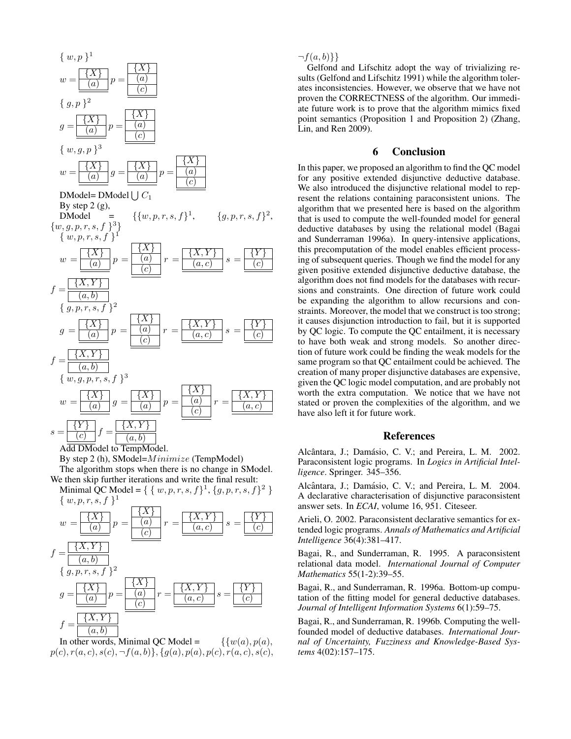

Add DModel to TempModel.

By step 2 (h), SModel= $Minimize$  (TempModel) The algorithm stops when there is no change in SModel. We then skip further iterations and write the final result:

Minimal QC Model = {  $\{w, p, r, s, f\}^1$ ,  $\{g, p, r, s, f\}^2$  }  $\{w, p, r, s, f\}^1$ 



In other words, Minimal QC Model =  $\{ \{w(a), p(a), \}$  $p(c), r(a, c), s(c), \neg f(a, b)\}, \{g(a), p(a), p(c), r(a, c), s(c),$ 

 $\neg f(a, b)$ }

Gelfond and Lifschitz adopt the way of trivializing results (Gelfond and Lifschitz 1991) while the algorithm tolerates inconsistencies. However, we observe that we have not proven the CORRECTNESS of the algorithm. Our immediate future work is to prove that the algorithm mimics fixed point semantics (Proposition 1 and Proposition 2) (Zhang, Lin, and Ren 2009).

## 6 Conclusion

In this paper, we proposed an algorithm to find the QC model for any positive extended disjunctive deductive database. We also introduced the disjunctive relational model to represent the relations containing paraconsistent unions. The algorithm that we presented here is based on the algorithm that is used to compute the well-founded model for general deductive databases by using the relational model (Bagai and Sunderraman 1996a). In query-intensive applications, this precomputation of the model enables efficient processing of subsequent queries. Though we find the model for any given positive extended disjunctive deductive database, the algorithm does not find models for the databases with recursions and constraints. One direction of future work could be expanding the algorithm to allow recursions and constraints. Moreover, the model that we construct is too strong; it causes disjunction introduction to fail, but it is supported by QC logic. To compute the QC entailment, it is necessary to have both weak and strong models. So another direction of future work could be finding the weak models for the same program so that QC entailment could be achieved. The creation of many proper disjunctive databases are expensive, given the QC logic model computation, and are probably not worth the extra computation. We notice that we have not stated or proven the complexities of the algorithm, and we have also left it for future work.

## References

Alcântara, J.; Damásio, C. V.; and Pereira, L. M. 2002. Paraconsistent logic programs. In *Logics in Artificial Intelligence*. Springer. 345–356.

Alcântara, J.; Damásio, C. V.; and Pereira, L. M. 2004. A declarative characterisation of disjunctive paraconsistent answer sets. In *ECAI*, volume 16, 951. Citeseer.

Arieli, O. 2002. Paraconsistent declarative semantics for extended logic programs. *Annals of Mathematics and Artificial Intelligence* 36(4):381–417.

Bagai, R., and Sunderraman, R. 1995. A paraconsistent relational data model. *International Journal of Computer Mathematics* 55(1-2):39–55.

Bagai, R., and Sunderraman, R. 1996a. Bottom-up computation of the fitting model for general deductive databases. *Journal of Intelligent Information Systems* 6(1):59–75.

Bagai, R., and Sunderraman, R. 1996b. Computing the wellfounded model of deductive databases. *International Journal of Uncertainty, Fuzziness and Knowledge-Based Systems* 4(02):157–175.